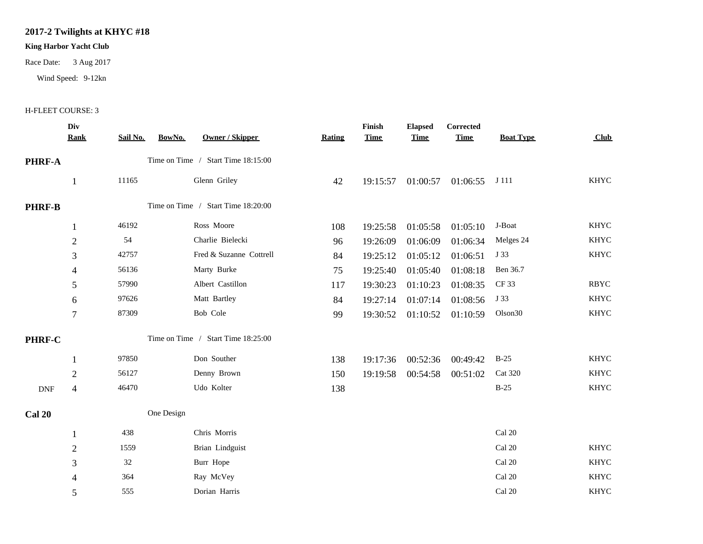## **2017-2 Twilights at KHYC #18**

## **King Harbor Yacht Club**

Race Date: 3 Aug 2017

Wind Speed: 9-12kn

## H-FLEET COURSE: 3

|               | Div<br><b>Rank</b>                 | BowNo.<br>Sail No. | <b>Owner / Skipper</b>  | <b>Rating</b> | Finish<br><b>Time</b> | <b>Elapsed</b><br><b>Time</b> | Corrected<br><b>Time</b> | <b>Boat Type</b> | <b>Club</b> |
|---------------|------------------------------------|--------------------|-------------------------|---------------|-----------------------|-------------------------------|--------------------------|------------------|-------------|
| <b>PHRF-A</b> | Time on Time / Start Time 18:15:00 |                    |                         |               |                       |                               |                          |                  |             |
|               | 1                                  | 11165              | Glenn Griley            | 42            | 19:15:57              | 01:00:57                      | 01:06:55                 | J 111            | <b>KHYC</b> |
| <b>PHRF-B</b> | Time on Time / Start Time 18:20:00 |                    |                         |               |                       |                               |                          |                  |             |
|               | 1                                  | 46192              | Ross Moore              | 108           | 19:25:58              | 01:05:58                      | 01:05:10                 | J-Boat           | <b>KHYC</b> |
|               | $\sqrt{2}$                         | 54                 | Charlie Bielecki        | 96            | 19:26:09              | 01:06:09                      | 01:06:34                 | Melges 24        | <b>KHYC</b> |
|               | 3                                  | 42757              | Fred & Suzanne Cottrell | 84            | 19:25:12              | 01:05:12                      | 01:06:51                 | J 33             | <b>KHYC</b> |
|               | $\overline{\mathcal{A}}$           | 56136              | Marty Burke             | 75            | 19:25:40              | 01:05:40                      | 01:08:18                 | Ben 36.7         |             |
|               | 5                                  | 57990              | Albert Castillon        | 117           | 19:30:23              | 01:10:23                      | 01:08:35                 | CF 33            | <b>RBYC</b> |
|               | 6                                  | 97626              | Matt Bartley            | 84            | 19:27:14              | 01:07:14                      | 01:08:56                 | J 33             | <b>KHYC</b> |
|               | $\overline{7}$                     | 87309              | Bob Cole                | 99            | 19:30:52              | 01:10:52                      | 01:10:59                 | Olson30          | KHYC        |
| PHRF-C        | Time on Time / Start Time 18:25:00 |                    |                         |               |                       |                               |                          |                  |             |
|               | 1                                  | 97850              | Don Souther             | 138           | 19:17:36              | 00:52:36                      | 00:49:42                 | $B-25$           | <b>KHYC</b> |
|               | $\mathbf{2}$                       | 56127              | Denny Brown             | 150           | 19:19:58              | 00:54:58                      | 00:51:02                 | <b>Cat 320</b>   | <b>KHYC</b> |
| <b>DNF</b>    | $\overline{\mathcal{L}}$           | 46470              | Udo Kolter              | 138           |                       |                               |                          | $B-25$           | <b>KHYC</b> |
| <b>Cal 20</b> | One Design                         |                    |                         |               |                       |                               |                          |                  |             |
|               | 1                                  | 438                | Chris Morris            |               |                       |                               |                          | Cal 20           |             |
|               | $\sqrt{2}$                         | 1559               | Brian Lindguist         |               |                       |                               |                          | Cal 20           | <b>KHYC</b> |
|               | $\mathfrak{Z}$                     | 32                 | Burr Hope               |               |                       |                               |                          | Cal 20           | <b>KHYC</b> |
|               | $\overline{4}$                     | 364                | Ray McVey               |               |                       |                               |                          | Cal 20           | <b>KHYC</b> |
|               | 5                                  | 555                | Dorian Harris           |               |                       |                               |                          | Cal 20           | <b>KHYC</b> |